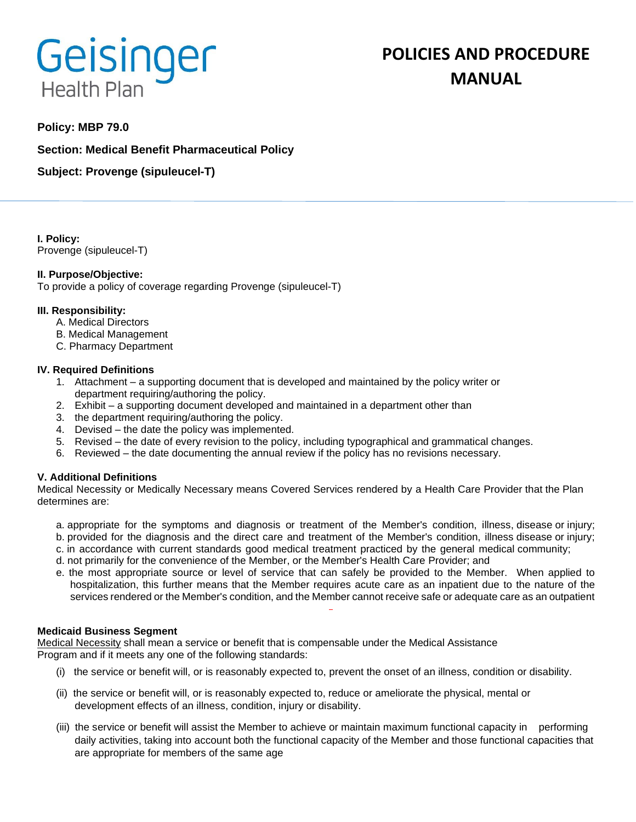# Geisinger **Health Plan**

# **POLICIES AND PROCEDURE MANUAL**

## **Policy: MBP 79.0**

**Section: Medical Benefit Pharmaceutical Policy**

**Subject: Provenge (sipuleucel-T)**

**I. Policy:** Provenge (sipuleucel-T)

#### **II. Purpose/Objective:**

To provide a policy of coverage regarding Provenge (sipuleucel-T)

#### **III. Responsibility:**

- A. Medical Directors
- B. Medical Management
- C. Pharmacy Department

#### **IV. Required Definitions**

- 1. Attachment a supporting document that is developed and maintained by the policy writer or department requiring/authoring the policy.
- 2. Exhibit a supporting document developed and maintained in a department other than
- 3. the department requiring/authoring the policy.
- 4. Devised the date the policy was implemented.
- 5. Revised the date of every revision to the policy, including typographical and grammatical changes.
- 6. Reviewed the date documenting the annual review if the policy has no revisions necessary.

#### **V. Additional Definitions**

Medical Necessity or Medically Necessary means Covered Services rendered by a Health Care Provider that the Plan determines are:

- a. appropriate for the symptoms and diagnosis or treatment of the Member's condition, illness, disease or injury; b. provided for the diagnosis and the direct care and treatment of the Member's condition, illness disease or injury;
- c. in accordance with current standards good medical treatment practiced by the general medical community;
- d. not primarily for the convenience of the Member, or the Member's Health Care Provider; and
- e. the most appropriate source or level of service that can safely be provided to the Member. When applied to hospitalization, this further means that the Member requires acute care as an inpatient due to the nature of the services rendered or the Member's condition, and the Member cannot receive safe or adequate care as an outpatient

#### **Medicaid Business Segment**

Medical Necessity shall mean a service or benefit that is compensable under the Medical Assistance Program and if it meets any one of the following standards:

- (i) the service or benefit will, or is reasonably expected to, prevent the onset of an illness, condition or disability.
- (ii) the service or benefit will, or is reasonably expected to, reduce or ameliorate the physical, mental or development effects of an illness, condition, injury or disability.
- (iii) the service or benefit will assist the Member to achieve or maintain maximum functional capacity in performing daily activities, taking into account both the functional capacity of the Member and those functional capacities that are appropriate for members of the same age